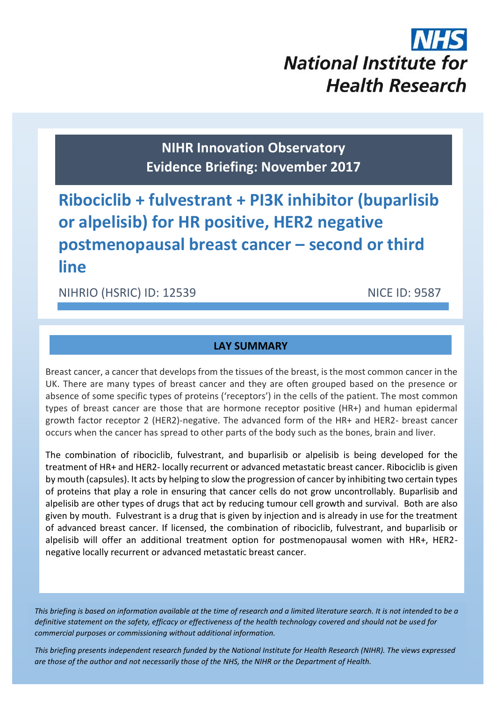# **National Institute for Health Research**

**NIHR Innovation Observatory Evidence Briefing: November 2017**

**Ribociclib + fulvestrant + PI3K inhibitor (buparlisib or alpelisib) for HR positive, HER2 negative postmenopausal breast cancer – second or third line**

## NIHRIO (HSRIC) ID: 12539 NICE ID: 9587

#### **LAY SUMMARY**

Breast cancer, a cancer that develops from the tissues of the breast, is the most common cancer in the UK. There are many types of breast cancer and they are often grouped based on the presence or absence of some specific types of proteins ('receptors') in the cells of the patient. The most common types of breast cancer are those that are hormone receptor positive (HR+) and human epidermal growth factor receptor 2 (HER2)-negative. The advanced form of the HR+ and HER2- breast cancer occurs when the cancer has spread to other parts of the body such as the bones, brain and liver.

The combination of ribociclib, fulvestrant, and buparlisib or alpelisib is being developed for the treatment of HR+ and HER2- locally recurrent or advanced metastatic breast cancer. Ribociclib is given by mouth (capsules). It acts by helping to slow the progression of cancer by inhibiting two certain types of proteins that play a role in ensuring that cancer cells do not grow uncontrollably. Buparlisib and alpelisib are other types of drugs that act by reducing tumour cell growth and survival. Both are also given by mouth. Fulvestrant is a drug that is given by injection and is already in use for the treatment of advanced breast cancer. If licensed, the combination of ribociclib, fulvestrant, and buparlisib or alpelisib will offer an additional treatment option for postmenopausal women with HR+, HER2 negative locally recurrent or advanced metastatic breast cancer.

*This briefing is based on information available at the time of research and a limited literature search. It is not intended to be a definitive statement on the safety, efficacy or effectiveness of the health technology covered and should not be used for commercial purposes or commissioning without additional information.*

1 *This briefing presents independent research funded by the National Institute for Health Research (NIHR). The views expressed are those of the author and not necessarily those of the NHS, the NIHR or the Department of Health.*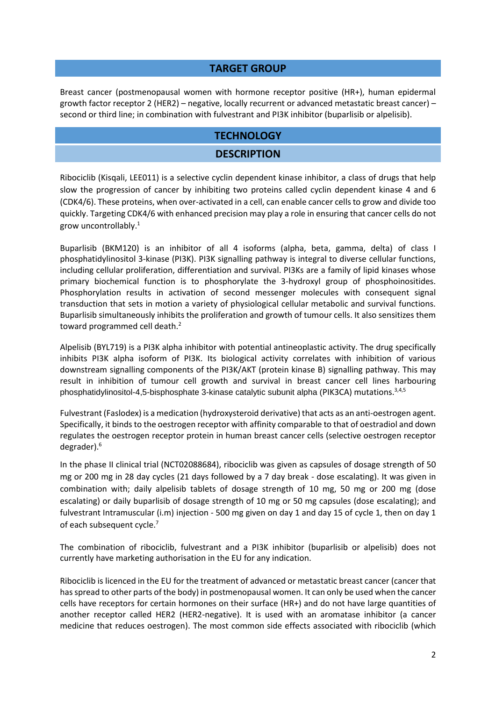#### **TARGET GROUP**

Breast cancer (postmenopausal women with hormone receptor positive (HR+), human epidermal growth factor receptor 2 (HER2) – negative, locally recurrent or advanced metastatic breast cancer) – second or third line; in combination with fulvestrant and PI3K inhibitor (buparlisib or alpelisib).

#### **TECHNOLOGY**

#### <span id="page-1-1"></span>**DESCRIPTION**

Ribociclib (Kisqali, LEE011) is a selective cyclin dependent kinase inhibitor, a class of drugs that help slow the progression of cancer by inhibiting two proteins called cyclin dependent kinase 4 and 6 (CDK4/6). These proteins, when over-activated in a cell, can enable cancer cells to grow and divide too quickly. Targeting CDK4/6 with enhanced precision may play a role in ensuring that cancer cells do not grow uncontrollably.<sup>1</sup>

Buparlisib (BKM120) is an inhibitor of all 4 isoforms (alpha, beta, gamma, delta) of class I phosphatidylinositol 3-kinase (PI3K). PI3K signalling pathway is integral to diverse cellular functions, including cellular proliferation, differentiation and survival. PI3Ks are a family of lipid kinases whose primary biochemical function is to phosphorylate the 3-hydroxyl group of phosphoinositides. Phosphorylation results in activation of second messenger molecules with consequent signal transduction that sets in motion a variety of physiological cellular metabolic and survival functions. Buparlisib simultaneously inhibits the proliferation and growth of tumour cells. It also sensitizes them toward programmed cell death.<sup>2</sup>

<span id="page-1-0"></span>Alpelisib (BYL719) is a PI3K alpha inhibitor with potential antineoplastic activity. The drug specifically inhibits PI3K alpha isoform of PI3K. Its biological activity correlates with inhibition of various downstream signalling components of the PI3K/AKT (protein kinase B) signalling pathway. This may result in inhibition of tumour cell growth and survival in breast cancer cell lines harbouring phosphatidylinositol-4,5-bisphosphate 3-kinase catalytic subunit alpha (PIK3CA) mutations.<sup>3,4,5</sup>

Fulvestrant (Faslodex) is a medication (hydroxysteroid derivative) that acts as an anti-oestrogen agent. Specifically, it binds to the oestrogen receptor with affinity comparable to that of oestradiol and down regulates the oestrogen receptor protein in human breast cancer cells (selective oestrogen receptor degrader).<sup>6</sup>

<span id="page-1-2"></span>In the phase II clinical trial (NCT02088684), ribociclib was given as capsules of dosage strength of 50 mg or 200 mg in 28 day cycles (21 days followed by a 7 day break - dose escalating). It was given in combination with; daily alpelisib tablets of dosage strength of 10 mg, 50 mg or 200 mg (dose escalating) or daily buparlisib of dosage strength of 10 mg or 50 mg capsules (dose escalating); and fulvestrant Intramuscular (i.m) injection - 500 mg given on day 1 and day 15 of cycle 1, then on day 1 of each subsequent cycle.<sup>7</sup>

<span id="page-1-3"></span>The combination of ribociclib, fulvestrant and a PI3K inhibitor (buparlisib or alpelisib) does not currently have marketing authorisation in the EU for any indication.

Ribociclib is licenced in the EU for the treatment of advanced or metastatic breast cancer (cancer that has spread to other parts of the body) in postmenopausal women. It can only be used when the cancer cells have receptors for certain hormones on their surface (HR+) and do not have large quantities of another receptor called HER2 (HER2-negative). It is used with an aromatase inhibitor (a cancer medicine that reduces oestrogen). The most common side effects associated with ribociclib (which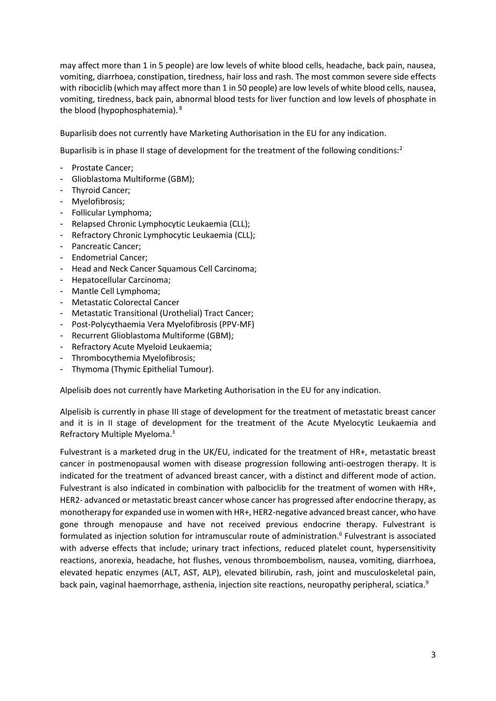may affect more than 1 in 5 people) are low levels of white blood cells, headache, back pain, nausea, vomiting, diarrhoea, constipation, tiredness, hair loss and rash. The most common severe side effects with ribociclib (which may affect more than 1 in 50 people) are low levels of white blood cells, nausea, vomiting, tiredness, back pain, abnormal blood tests for liver function and low levels of phosphate in the blood (hypophosphatemia). <sup>8</sup>

Buparlisib does not currently have Marketing Authorisation in the EU for any indication.

Buparlisib is in phase II stage of development for the treatment of the following conditions[:](#page-1-0)<sup>2</sup>

- Prostate Cancer;
- Glioblastoma Multiforme (GBM);
- Thyroid Cancer;
- Myelofibrosis;
- Follicular Lymphoma;
- Relapsed Chronic Lymphocytic Leukaemia (CLL);
- Refractory Chronic Lymphocytic Leukaemia (CLL);
- Pancreatic Cancer;
- Endometrial Cancer;
- Head and Neck Cancer Squamous Cell Carcinoma;
- Hepatocellular Carcinoma;
- Mantle Cell Lymphoma;
- Metastatic Colorectal Cancer
- Metastatic Transitional (Urothelial) Tract Cancer;
- Post-Polycythaemia Vera Myelofibrosis (PPV-MF)
- Recurrent Glioblastoma Multiforme (GBM);
- Refractory Acute Myeloid Leukaemia;
- Thrombocythemia Myelofibrosis;
- Thymoma (Thymic Epithelial Tumour).

Alpelisib does not currently have Marketing Authorisation in the EU for any indication.

Alpelisib is currently in phase III stage of development for the treatment of metastatic breast cancer and it is in II stage of development for the treatment of the Acute Myelocytic Leukaemia and Refractory Multiple Myeloma[.](#page-1-1) 3

Fulvestrant is a marketed drug in the UK/EU, indicated for the treatment of HR+, metastatic breast cancer in postmenopausal women with disease progression following anti-oestrogen therapy. It is indicated for the treatment of advanced breast cancer, with a distinct and different mode of action. Fulvestrant is also indicated in combination with palbociclib for the treatment of women with HR+, HER2- advanced or metastatic breast cancer whose cancer has progressed after endocrine therapy, as monotherapy for expanded use in women with HR+, HER2-negative advanced breast cancer, who have gone through menopause and have not received previous endocrine therapy. Fulvestrant is formulated as injection solution for intramuscular route of administration.<sup>[6](#page-1-2)</sup> Fulvestrant is associated with adverse effects that include; urinary tract infections, reduced platelet count, hypersensitivity reactions, anorexia, headache, hot flushes, venous thromboembolism, nausea, vomiting, diarrhoea, elevated hepatic enzymes (ALT, AST, ALP), elevated bilirubin, rash, joint and musculoskeletal pain, back pain, vaginal haemorrhage, asthenia, injection site reactions, neuropathy peripheral, sciatica.<sup>9</sup>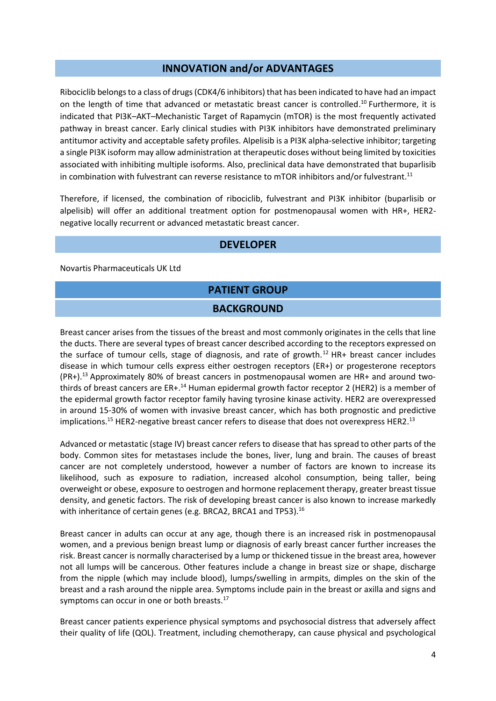#### **INNOVATION and/or ADVANTAGES**

Ribociclib belongs to a class of drugs (CDK4/6 inhibitors) that has been indicated to have had an impact on the length of time that advanced or metastatic breast cancer is controlled. <sup>10</sup> Furthermore, it is indicated that PI3K–AKT–Mechanistic Target of Rapamycin (mTOR) is the most frequently activated pathway in breast cancer. Early clinical studies with PI3K inhibitors have demonstrated preliminary antitumor activity and acceptable safety profiles. Alpelisib is a PI3K alpha-selective inhibitor; targeting a single PI3K isoform may allow administration at therapeutic doses without being limited by toxicities associated with inhibiting multiple isoforms. Also, preclinical data have demonstrated that buparlisib in combination with fulvestrant can reverse resistance to mTOR inhibitors and/or fulvestrant.<sup>11</sup>

Therefore, if licensed, the combination of ribociclib, fulvestrant and PI3K inhibitor (buparlisib or alpelisib) will offer an additional treatment option for postmenopausal women with HR+, HER2 negative locally recurrent or advanced metastatic breast cancer.

#### **DEVELOPER**

Novartis Pharmaceuticals UK Ltd

# **PATIENT GROUP BACKGROUND**

<span id="page-3-0"></span>Breast cancer arises from the tissues of the breast and most commonly originates in the cells that line the ducts. There are several types of breast cancer described according to the receptors expressed on the surface of tumour cells, stage of diagnosis, and rate of growth.<sup>12</sup> HR+ breast cancer includes disease in which tumour cells express either oestrogen receptors (ER+) or progesterone receptors (PR+). <sup>13</sup> Approximately 80% of breast cancers in postmenopausal women are HR+ and around two‐ thirds of breast cancers are ER+.<sup>14</sup> Human epidermal growth factor receptor 2 (HER2) is a member of the epidermal growth factor receptor family having tyrosine kinase activity. HER2 are overexpressed in around 15‐30% of women with invasive breast cancer, which has both prognostic and predictive implications.<sup>15</sup> HER2-negative breast cancer refers to disease that does not overexpress HER2.<sup>[13](#page-3-0)</sup>

Advanced or metastatic (stage IV) breast cancer refers to disease that has spread to other parts of the body. Common sites for metastases include the bones, liver, lung and brain. The causes of breast cancer are not completely understood, however a number of factors are known to increase its likelihood, such as exposure to radiation, increased alcohol consumption, being taller, being overweight or obese, exposure to oestrogen and hormone replacement therapy, greater breast tissue density, and genetic factors. The risk of developing breast cancer is also known to increase markedly with inheritance of certain genes (e.g. BRCA2, BRCA1 and TP53).<sup>16</sup>

Breast cancer in adults can occur at any age, though there is an increased risk in postmenopausal women, and a previous benign breast lump or diagnosis of early breast cancer further increases the risk. Breast cancer is normally characterised by a lump or thickened tissue in the breast area, however not all lumps will be cancerous. Other features include a change in breast size or shape, discharge from the nipple (which may include blood), lumps/swelling in armpits, dimples on the skin of the breast and a rash around the nipple area. Symptoms include pain in the breast or axilla and signs and symptoms can occur in one or both breasts.<sup>17</sup>

Breast cancer patients experience physical symptoms and psychosocial distress that adversely affect their quality of life (QOL). Treatment, including chemotherapy, can cause physical and psychological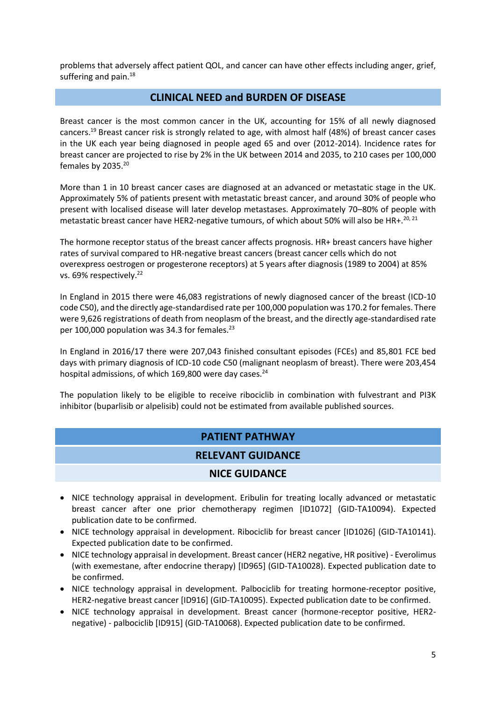problems that adversely affect patient QOL, and cancer can have other effects including anger, grief, suffering and pain.<sup>18</sup>

#### **CLINICAL NEED and BURDEN OF DISEASE**

Breast cancer is the most common cancer in the UK, accounting for 15% of all newly diagnosed cancers.<sup>19</sup> Breast cancer risk is strongly related to age, with almost half (48%) of breast cancer cases in the UK each year being diagnosed in people aged 65 and over (2012-2014). Incidence rates for breast cancer are projected to rise by 2% in the UK between 2014 and 2035, to 210 cases per 100,000 females by  $2035.^{20}$ 

<span id="page-4-0"></span>More than 1 in 10 breast cancer cases are diagnosed at an advanced or metastatic stage in the UK. Approximately 5% of patients present with metastatic breast cancer, and around 30% of people who present with localised disease will later develop metastases. Approximately 70–80% of people with metastatic breast cancer have HER2-negative tumours, of which about 50% will also be HR+.<sup>[20,](#page-4-0) 21</sup>

The hormone receptor status of the breast cancer affects prognosis. HR+ breast cancers have higher rates of survival compared to HR‐negative breast cancers (breast cancer cells which do not overexpress oestrogen or progesterone receptors) at 5 years after diagnosis (1989 to 2004) at 85% vs. 69% respectively.<sup>22</sup>

In England in 2015 there were 46,083 registrations of newly diagnosed cancer of the breast (ICD-10 code C50), and the directly age-standardised rate per 100,000 population was 170.2 for females. There were 9,626 registrations of death from neoplasm of the breast, and the directly age-standardised rate per 100,000 population was 34.3 for females. $^{23}$ 

In England in 2016/17 there were 207,043 finished consultant episodes (FCEs) and 85,801 FCE bed days with primary diagnosis of ICD-10 code C50 (malignant neoplasm of breast). There were 203,454 hospital admissions, of which 169,800 were day cases.<sup>24</sup>

The population likely to be eligible to receive ribociclib in combination with fulvestrant and PI3K inhibitor (buparlisib or alpelisib) could not be estimated from available published sources.

#### **PATIENT PATHWAY**

#### **RELEVANT GUIDANCE**

#### **NICE GUIDANCE**

- NICE technology appraisal in development. Eribulin for treating locally advanced or metastatic breast cancer after one prior chemotherapy regimen [ID1072] (GID-TA10094). Expected publication date to be confirmed.
- NICE technology appraisal in development. Ribociclib for breast cancer [ID1026] (GID-TA10141). Expected publication date to be confirmed.
- NICE technology appraisal in development. Breast cancer (HER2 negative, HR positive) Everolimus (with exemestane, after endocrine therapy) [ID965] (GID-TA10028). Expected publication date to be confirmed.
- NICE technology appraisal in development. Palbociclib for treating hormone-receptor positive, HER2-negative breast cancer [ID916] (GID-TA10095). Expected publication date to be confirmed.
- NICE technology appraisal in development. Breast cancer (hormone-receptor positive, HER2negative) - palbociclib [ID915] (GID-TA10068). Expected publication date to be confirmed.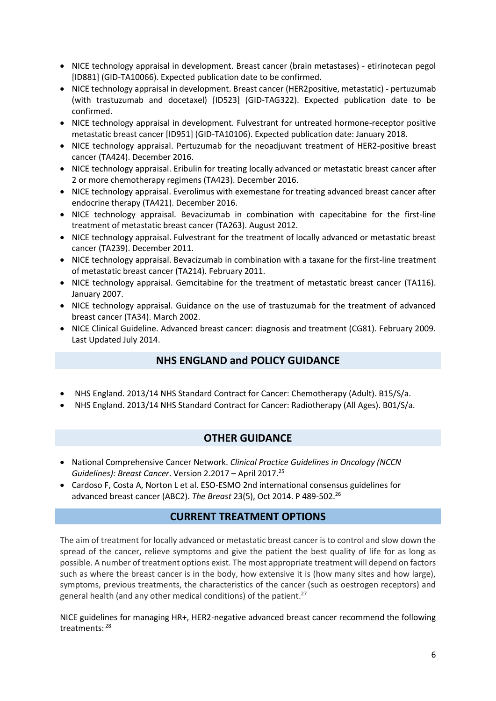- NICE technology appraisal in development. Breast cancer (brain metastases) etirinotecan pegol [ID881] (GID-TA10066). Expected publication date to be confirmed.
- NICE technology appraisal in development. Breast cancer (HER2positive, metastatic) pertuzumab (with trastuzumab and docetaxel) [ID523] (GID-TAG322). Expected publication date to be confirmed.
- NICE technology appraisal in development. Fulvestrant for untreated hormone-receptor positive metastatic breast cancer [ID951] (GID-TA10106). Expected publication date: January 2018.
- NICE technology appraisal. Pertuzumab for the neoadjuvant treatment of HER2-positive breast cancer (TA424). December 2016.
- NICE technology appraisal. Eribulin for treating locally advanced or metastatic breast cancer after 2 or more chemotherapy regimens (TA423). December 2016.
- NICE technology appraisal. Everolimus with exemestane for treating advanced breast cancer after endocrine therapy (TA421). December 2016.
- NICE technology appraisal. Bevacizumab in combination with capecitabine for the first-line treatment of metastatic breast cancer (TA263). August 2012.
- NICE technology appraisal. Fulvestrant for the treatment of locally advanced or metastatic breast cancer (TA239). December 2011.
- NICE technology appraisal. Bevacizumab in combination with a taxane for the first-line treatment of metastatic breast cancer (TA214). February 2011.
- NICE technology appraisal. Gemcitabine for the treatment of metastatic breast cancer (TA116). January 2007.
- NICE technology appraisal. Guidance on the use of trastuzumab for the treatment of advanced breast cancer (TA34). March 2002.
- NICE Clinical Guideline. Advanced breast cancer: diagnosis and treatment (CG81). February 2009. Last Updated July 2014.

#### **NHS ENGLAND and POLICY GUIDANCE**

- NHS England. 2013/14 NHS Standard Contract for Cancer: Chemotherapy (Adult). B15/S/a.
- NHS England. 2013/14 NHS Standard Contract for Cancer: Radiotherapy (All Ages). B01/S/a.

#### **OTHER GUIDANCE**

- National Comprehensive Cancer Network. *Clinical Practice Guidelines in Oncology (NCCN Guidelines): Breast Cancer.* Version 2.2017 – April 2017.<sup>25</sup>
- Cardoso F, Costa A, Norton L et al. ESO-ESMO 2nd international consensus guidelines for advanced breast cancer (ABC2). *The Breast* 23(5), Oct 2014. P 489-502.<sup>26</sup>

#### **CURRENT TREATMENT OPTIONS**

The aim of treatment for locally advanced or metastatic breast cancer is to control and slow down the spread of the cancer, relieve symptoms and give the patient the best quality of life for as long as possible. A number of treatment options exist. The most appropriate treatment will depend on factors such as where the breast cancer is in the body, how extensive it is (how many sites and how large), symptoms, previous treatments, the characteristics of the cancer (such as oestrogen receptors) and general health (and any other medical conditions) of the patient.<sup>27</sup>

NICE guidelines for managing HR+, HER2-negative advanced breast cancer recommend the following treatments: 28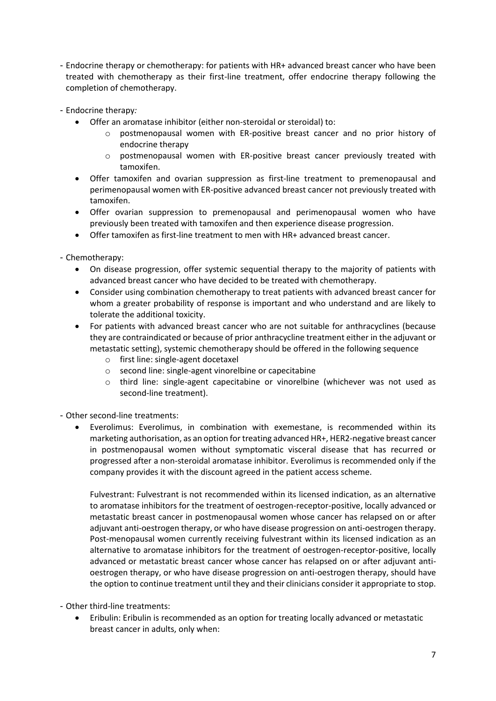- Endocrine therapy or chemotherapy: for patients with HR+ advanced breast cancer who have been treated with chemotherapy as their first-line treatment, offer endocrine therapy following the completion of chemotherapy.
- Endocrine therapy*:*
	- Offer an aromatase inhibitor (either non-steroidal or steroidal) to:
		- o postmenopausal women with ER-positive breast cancer and no prior history of endocrine therapy
		- o postmenopausal women with ER-positive breast cancer previously treated with tamoxifen.
	- Offer tamoxifen and ovarian suppression as first-line treatment to premenopausal and perimenopausal women with ER-positive advanced breast cancer not previously treated with tamoxifen.
	- Offer ovarian suppression to premenopausal and perimenopausal women who have previously been treated with tamoxifen and then experience disease progression.
	- Offer tamoxifen as first-line treatment to men with HR+ advanced breast cancer.

- Chemotherapy:

- On disease progression, offer systemic sequential therapy to the majority of patients with advanced breast cancer who have decided to be treated with chemotherapy.
- Consider using combination chemotherapy to treat patients with advanced breast cancer for whom a greater probability of response is important and who understand and are likely to tolerate the additional toxicity.
- For patients with advanced breast cancer who are not suitable for anthracyclines (because they are contraindicated or because of prior anthracycline treatment either in the adjuvant or metastatic setting), systemic chemotherapy should be offered in the following sequence
	- o first line: single-agent docetaxel
	- o second line: single-agent vinorelbine or capecitabine
	- o third line: single-agent capecitabine or vinorelbine (whichever was not used as second-line treatment).

- Other second-line treatments:

 Everolimus: Everolimus, in combination with exemestane, is recommended within its marketing authorisation, as an option for treating advanced HR+, HER2-negative breast cancer in postmenopausal women without symptomatic visceral disease that has recurred or progressed after a non-steroidal aromatase inhibitor. Everolimus is recommended only if the company provides it with the discount agreed in the patient access scheme.

Fulvestrant: Fulvestrant is not recommended within its licensed indication, as an alternative to aromatase inhibitors for the treatment of oestrogen-receptor-positive, locally advanced or metastatic breast cancer in postmenopausal women whose cancer has relapsed on or after adjuvant anti-oestrogen therapy, or who have disease progression on anti-oestrogen therapy. Post-menopausal women currently receiving fulvestrant within its licensed indication as an alternative to aromatase inhibitors for the treatment of oestrogen-receptor-positive, locally advanced or metastatic breast cancer whose cancer has relapsed on or after adjuvant antioestrogen therapy, or who have disease progression on anti-oestrogen therapy, should have the option to continue treatment until they and their clinicians consider it appropriate to stop.

- Other third-line treatments:
	- Eribulin: Eribulin is recommended as an option for treating locally advanced or metastatic breast cancer in adults, only when: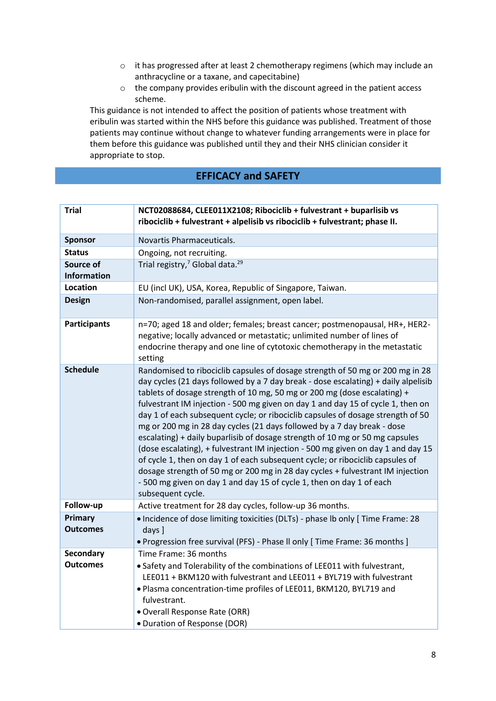- o it has progressed after at least 2 chemotherapy regimens (which may include an anthracycline or a taxane, and capecitabine)
- o the company provides eribulin with the discount agreed in the patient access scheme.

This guidance is not intended to affect the position of patients whose treatment with eribulin was started within the NHS before this guidance was published. Treatment of those patients may continue without change to whatever funding arrangements were in place for them before this guidance was published until they and their NHS clinician consider it appropriate to stop.

### **EFFICACY and SAFETY**

| <b>Trial</b>                    | NCT02088684, CLEE011X2108; Ribociclib + fulvestrant + buparlisib vs<br>ribociclib + fulvestrant + alpelisib vs ribociclib + fulvestrant; phase II.                                                                                                                                                                                                                                                                                                                                                                                                                                                                                                                                                                                                                                                                                                                                                                                   |
|---------------------------------|--------------------------------------------------------------------------------------------------------------------------------------------------------------------------------------------------------------------------------------------------------------------------------------------------------------------------------------------------------------------------------------------------------------------------------------------------------------------------------------------------------------------------------------------------------------------------------------------------------------------------------------------------------------------------------------------------------------------------------------------------------------------------------------------------------------------------------------------------------------------------------------------------------------------------------------|
| <b>Sponsor</b>                  | Novartis Pharmaceuticals.                                                                                                                                                                                                                                                                                                                                                                                                                                                                                                                                                                                                                                                                                                                                                                                                                                                                                                            |
| <b>Status</b>                   | Ongoing, not recruiting.                                                                                                                                                                                                                                                                                                                                                                                                                                                                                                                                                                                                                                                                                                                                                                                                                                                                                                             |
| Source of<br><b>Information</b> | Trial registry, <sup>7</sup> Global data. <sup>29</sup>                                                                                                                                                                                                                                                                                                                                                                                                                                                                                                                                                                                                                                                                                                                                                                                                                                                                              |
| <b>Location</b>                 | EU (incl UK), USA, Korea, Republic of Singapore, Taiwan.                                                                                                                                                                                                                                                                                                                                                                                                                                                                                                                                                                                                                                                                                                                                                                                                                                                                             |
| <b>Design</b>                   | Non-randomised, parallel assignment, open label.                                                                                                                                                                                                                                                                                                                                                                                                                                                                                                                                                                                                                                                                                                                                                                                                                                                                                     |
| <b>Participants</b>             | n=70; aged 18 and older; females; breast cancer; postmenopausal, HR+, HER2-<br>negative; locally advanced or metastatic; unlimited number of lines of<br>endocrine therapy and one line of cytotoxic chemotherapy in the metastatic<br>setting                                                                                                                                                                                                                                                                                                                                                                                                                                                                                                                                                                                                                                                                                       |
| <b>Schedule</b>                 | Randomised to ribociclib capsules of dosage strength of 50 mg or 200 mg in 28<br>day cycles (21 days followed by a 7 day break - dose escalating) + daily alpelisib<br>tablets of dosage strength of 10 mg, 50 mg or 200 mg (dose escalating) +<br>fulvestrant IM injection - 500 mg given on day 1 and day 15 of cycle 1, then on<br>day 1 of each subsequent cycle; or ribociclib capsules of dosage strength of 50<br>mg or 200 mg in 28 day cycles (21 days followed by a 7 day break - dose<br>escalating) + daily buparlisib of dosage strength of 10 mg or 50 mg capsules<br>(dose escalating), + fulvestrant IM injection - 500 mg given on day 1 and day 15<br>of cycle 1, then on day 1 of each subsequent cycle; or ribociclib capsules of<br>dosage strength of 50 mg or 200 mg in 28 day cycles + fulvestrant IM injection<br>- 500 mg given on day 1 and day 15 of cycle 1, then on day 1 of each<br>subsequent cycle. |
| Follow-up                       | Active treatment for 28 day cycles, follow-up 36 months.                                                                                                                                                                                                                                                                                                                                                                                                                                                                                                                                                                                                                                                                                                                                                                                                                                                                             |
| Primary<br><b>Outcomes</b>      | • Incidence of dose limiting toxicities (DLTs) - phase Ib only [ Time Frame: 28<br>days ]<br>. Progression free survival (PFS) - Phase II only [ Time Frame: 36 months ]                                                                                                                                                                                                                                                                                                                                                                                                                                                                                                                                                                                                                                                                                                                                                             |
| Secondary<br><b>Outcomes</b>    | Time Frame: 36 months<br>• Safety and Tolerability of the combinations of LEE011 with fulvestrant,<br>LEE011 + BKM120 with fulvestrant and LEE011 + BYL719 with fulvestrant<br>. Plasma concentration-time profiles of LEE011, BKM120, BYL719 and<br>fulvestrant.<br>· Overall Response Rate (ORR)<br>· Duration of Response (DOR)                                                                                                                                                                                                                                                                                                                                                                                                                                                                                                                                                                                                   |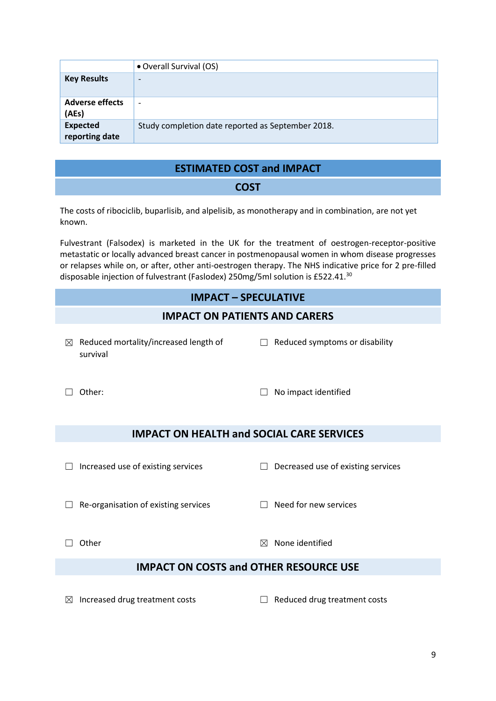|                                   | • Overall Survival (OS)                           |
|-----------------------------------|---------------------------------------------------|
| <b>Key Results</b>                | $\overline{\phantom{0}}$                          |
| <b>Adverse effects</b><br>(AEs)   | $\overline{\phantom{0}}$                          |
| <b>Expected</b><br>reporting date | Study completion date reported as September 2018. |

### **ESTIMATED COST and IMPACT**

#### **COST**

The costs of ribociclib, buparlisib, and alpelisib, as monotherapy and in combination, are not yet known.

Fulvestrant (Falsodex) is marketed in the UK for the treatment of oestrogen-receptor-positive metastatic or locally advanced breast cancer in postmenopausal women in whom disease progresses or relapses while on, or after, other anti-oestrogen therapy. The NHS indicative price for 2 pre-filled disposable injection of fulvestrant (Faslodex) 250mg/5ml solution is £522.41.<sup>30</sup>

#### **IMPACT – SPECULATIVE**

#### **IMPACT ON PATIENTS AND CARERS**

 $\boxtimes$  Reduced mortality/increased length of survival

 $\Box$  Reduced symptoms or disability

☐ Other: ☐ No impact identified

#### **IMPACT ON HEALTH and SOCIAL CARE SERVICES**

☐ Increased use of existing services ☐ Decreased use of existing services

☐ Re-organisation of existing services ☐ Need for new services

 $\Box$  Other  $\boxtimes$  None identified

#### **IMPACT ON COSTS and OTHER RESOURCE USE**

☒ Increased drug treatment costs ☐ Reduced drug treatment costs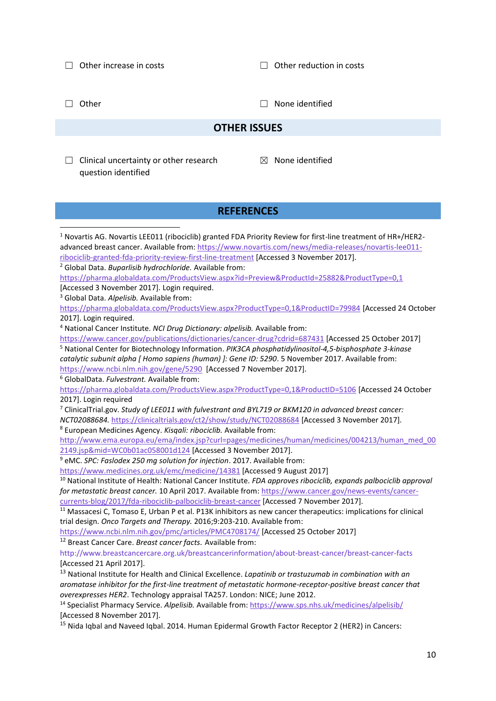☐ Other increase in costs ☐ Other reduction in costs

☐ Other ☐ None identified

#### **OTHER ISSUES**

- $\Box$  Clinical uncertainty or other research question identified
- ☒ None identified

#### **REFERENCES**

<sup>1</sup> Novartis AG. Novartis LEE011 (ribociclib) granted FDA Priority Review for first-line treatment of HR+/HER2 advanced breast cancer. Available from: [https://www.novartis.com/news/media-releases/novartis-lee011](https://www.novartis.com/news/media-releases/novartis-lee011-ribociclib-granted-fda-priority-review-first-line-treatment) [ribociclib-granted-fda-priority-review-first-line-treatment](https://www.novartis.com/news/media-releases/novartis-lee011-ribociclib-granted-fda-priority-review-first-line-treatment) [Accessed 3 November 2017]. <sup>2</sup> Global Data. *Buparlisib hydrochloride.* Available from: <https://pharma.globaldata.com/ProductsView.aspx?id=Preview&ProductId=25882&ProductType=0,1> [Accessed 3 November 2017]. Login required. <sup>3</sup> Global Data. *Alpelisib.* Available from: <https://pharma.globaldata.com/ProductsView.aspx?ProductType=0,1&ProductID=79984> [Accessed 24 October 2017]. Login required. <sup>4</sup> National Cancer Institute. *NCI Drug Dictionary: alpelisib.* Available from: <https://www.cancer.gov/publications/dictionaries/cancer-drug?cdrid=687431> [Accessed 25 October 2017] <sup>5</sup> National Center for Biotechnology Information. *PIK3CA phosphatidylinositol-4,5-bisphosphate 3-kinase catalytic subunit alpha [ Homo sapiens (human) ]: Gene ID: 5290*. 5 November 2017. Available from: <https://www.ncbi.nlm.nih.gov/gene/5290>[Accessed 7 November 2017]. <sup>6</sup> GlobalData. *Fulvestrant.* Available from: <https://pharma.globaldata.com/ProductsView.aspx?ProductType=0,1&ProductID=5106> [Accessed 24 October 2017]. Login required <sup>7</sup> ClinicalTrial.gov. *Study of LEE011 with fulvestrant and BYL719 or BKM120 in advanced breast cancer: NCT02088684.* <https://clinicaltrials.gov/ct2/show/study/NCT02088684> [Accessed 3 November 2017]. <sup>8</sup> European Medicines Agency. *Kisqali: ribociclib.* Available from: [http://www.ema.europa.eu/ema/index.jsp?curl=pages/medicines/human/medicines/004213/human\\_med\\_00](http://www.ema.europa.eu/ema/index.jsp?curl=pages/medicines/human/medicines/004213/human_med_002149.jsp&mid=WC0b01ac058001d124) [2149.jsp&mid=WC0b01ac058001d124](http://www.ema.europa.eu/ema/index.jsp?curl=pages/medicines/human/medicines/004213/human_med_002149.jsp&mid=WC0b01ac058001d124) [Accessed 3 November 2017]. <sup>9</sup> eMC. *SPC: Faslodex 250 mg solution for injection*. 2017. Available from: <https://www.medicines.org.uk/emc/medicine/14381> [Accessed 9 August 2017] <sup>10</sup> National Institute of Health: National Cancer Institute. *FDA approves ribociclib, expands palbociclib approval for metastatic breast cancer.* 10 April 2017. Available from: [https://www.cancer.gov/news-events/cancer](https://www.cancer.gov/news-events/cancer-currents-blog/2017/fda-ribociclib-palbociclib-breast-cancer)[currents-blog/2017/fda-ribociclib-palbociclib-breast-cancer](https://www.cancer.gov/news-events/cancer-currents-blog/2017/fda-ribociclib-palbociclib-breast-cancer) [Accessed 7 November 2017]. <sup>11</sup> Massacesi C, Tomaso E, Urban P et al. P13K inhibitors as new cancer therapeutics: implications for clinical trial design. *Onco Targets and Therapy.* 2016;9:203-210. Available from: <https://www.ncbi.nlm.nih.gov/pmc/articles/PMC4708174/> [Accessed 25 October 2017] <sup>12</sup> Breast Cancer Care. *Breast cancer facts.* Available from: http://www.breastcancercare.org.uk/breastcancerinformation/about‐breast‐cancer/breast‐cancer‐facts [Accessed 21 April 2017]. <sup>13</sup> National Institute for Health and Clinical Excellence. *Lapatinib or trastuzumab in combination with an aromatase inhibitor for the first‐line treatment of metastatic hormone‐receptor‐positive breast cancer that overexpresses HER2*. Technology appraisal TA257. London: NICE; June 2012. <sup>14</sup> Specialist Pharmacy Service. *Alpelisib.* Available from:<https://www.sps.nhs.uk/medicines/alpelisib/> [Accessed 8 November 2017]. <sup>15</sup> Nida Iqbal and Naveed Iqbal. 2014. Human Epidermal Growth Factor Receptor 2 (HER2) in Cancers: **.**